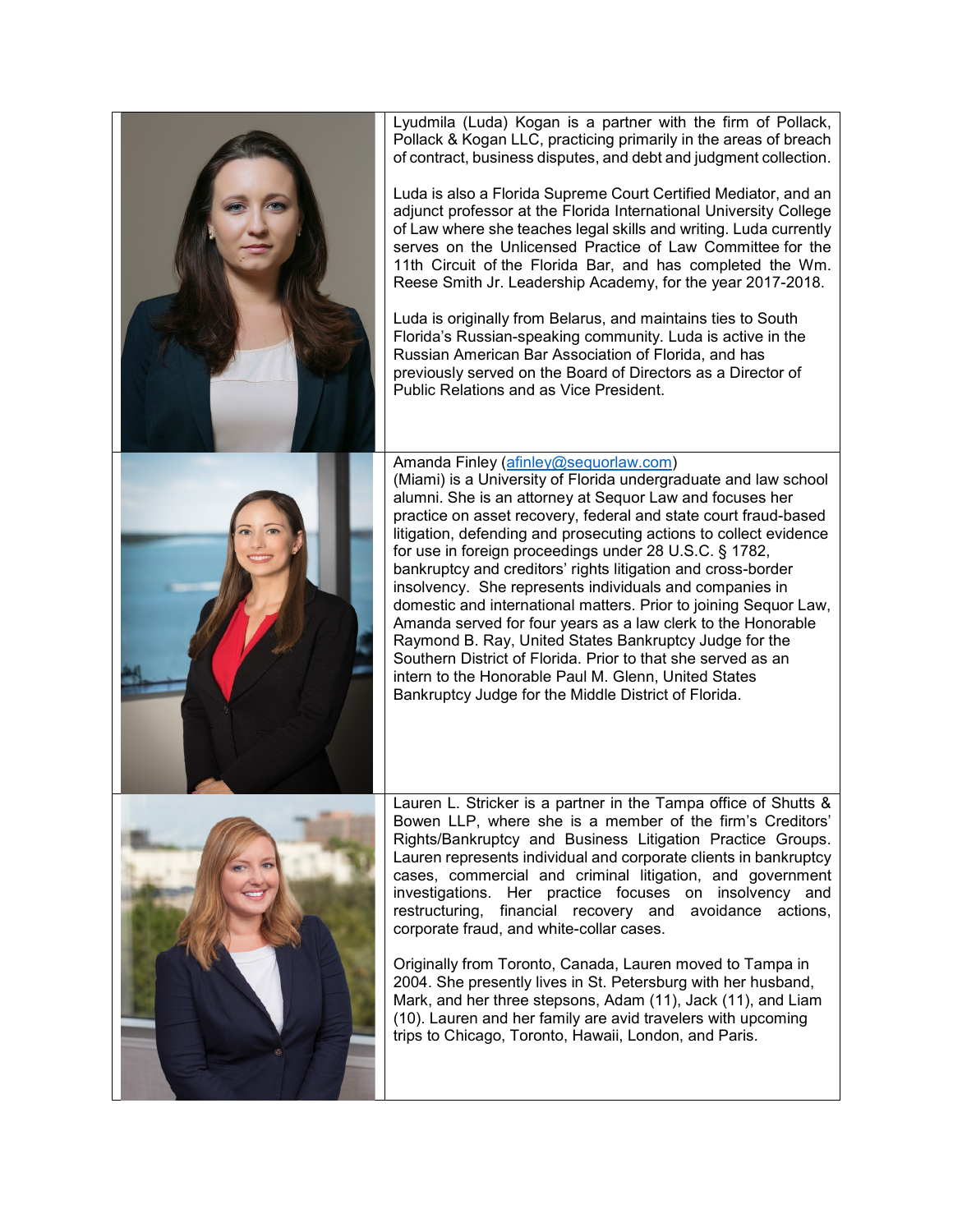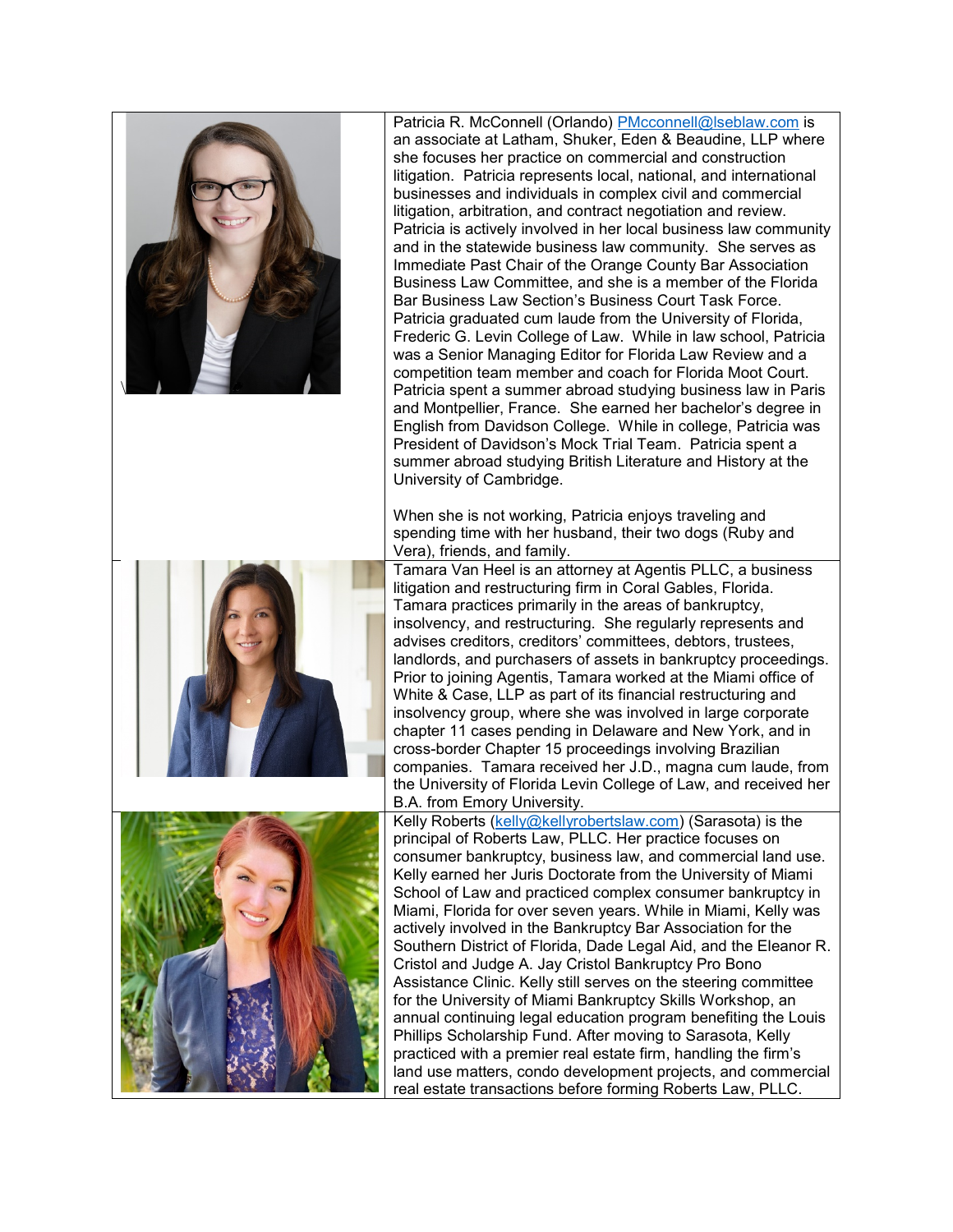